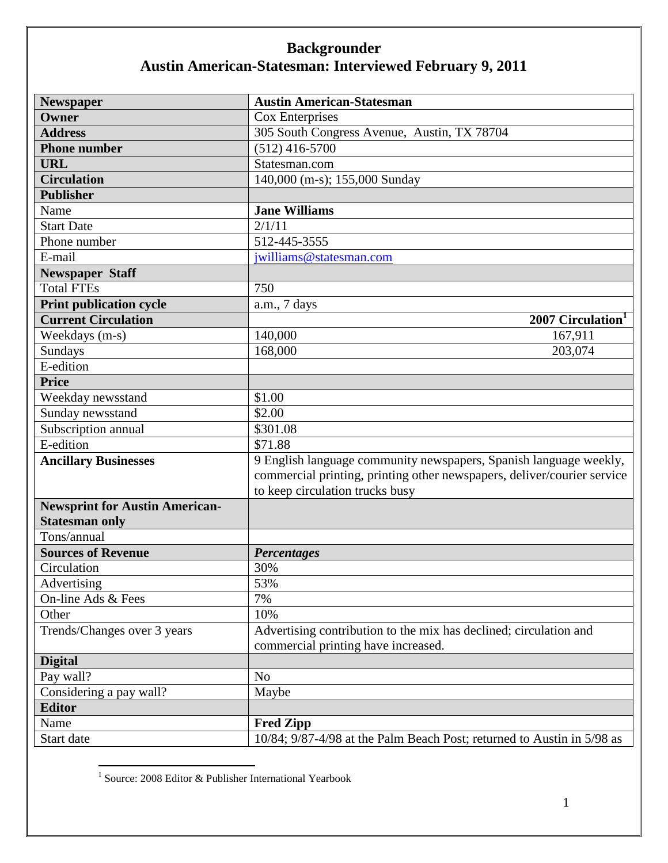| <b>Newspaper</b>                      | <b>Austin American-Statesman</b>                                        |
|---------------------------------------|-------------------------------------------------------------------------|
| Owner                                 | Cox Enterprises                                                         |
| <b>Address</b>                        | 305 South Congress Avenue, Austin, TX 78704                             |
| <b>Phone number</b>                   | $(512)$ 416-5700                                                        |
| <b>URL</b>                            | Statesman.com                                                           |
| <b>Circulation</b>                    | 140,000 (m-s); 155,000 Sunday                                           |
| <b>Publisher</b>                      |                                                                         |
| Name                                  | <b>Jane Williams</b>                                                    |
| <b>Start Date</b>                     | 2/1/11                                                                  |
| Phone number                          | 512-445-3555                                                            |
| E-mail                                | jwilliams@statesman.com                                                 |
| <b>Newspaper Staff</b>                |                                                                         |
| <b>Total FTEs</b>                     | 750                                                                     |
| <b>Print publication cycle</b>        | a.m., 7 days                                                            |
| <b>Current Circulation</b>            | 2007 Circulation <sup>1</sup>                                           |
| Weekdays (m-s)                        | 140,000<br>167,911                                                      |
| Sundays                               | 203,074<br>168,000                                                      |
| E-edition                             |                                                                         |
| <b>Price</b>                          |                                                                         |
| Weekday newsstand                     | \$1.00                                                                  |
| Sunday newsstand                      | \$2.00                                                                  |
| Subscription annual                   | \$301.08                                                                |
| E-edition                             | \$71.88                                                                 |
| <b>Ancillary Businesses</b>           | 9 English language community newspapers, Spanish language weekly,       |
|                                       | commercial printing, printing other newspapers, deliver/courier service |
|                                       | to keep circulation trucks busy                                         |
| <b>Newsprint for Austin American-</b> |                                                                         |
| <b>Statesman only</b>                 |                                                                         |
| Tons/annual                           |                                                                         |
| <b>Sources of Revenue</b>             | <b>Percentages</b>                                                      |
| Circulation                           | 30%                                                                     |
| Advertising                           | 53%                                                                     |
| On-line Ads & Fees                    | 7%                                                                      |
| Other                                 | 10%                                                                     |
| Trends/Changes over 3 years           | Advertising contribution to the mix has declined; circulation and       |
|                                       | commercial printing have increased.                                     |
| <b>Digital</b>                        |                                                                         |
| Pay wall?                             | N <sub>o</sub>                                                          |
| Considering a pay wall?               | Maybe                                                                   |
| <b>Editor</b>                         |                                                                         |
| Name                                  | <b>Fred Zipp</b>                                                        |
| Start date                            | 10/84; 9/87-4/98 at the Palm Beach Post; returned to Austin in 5/98 as  |

 1 Source: 2008 Editor & Publisher International Yearbook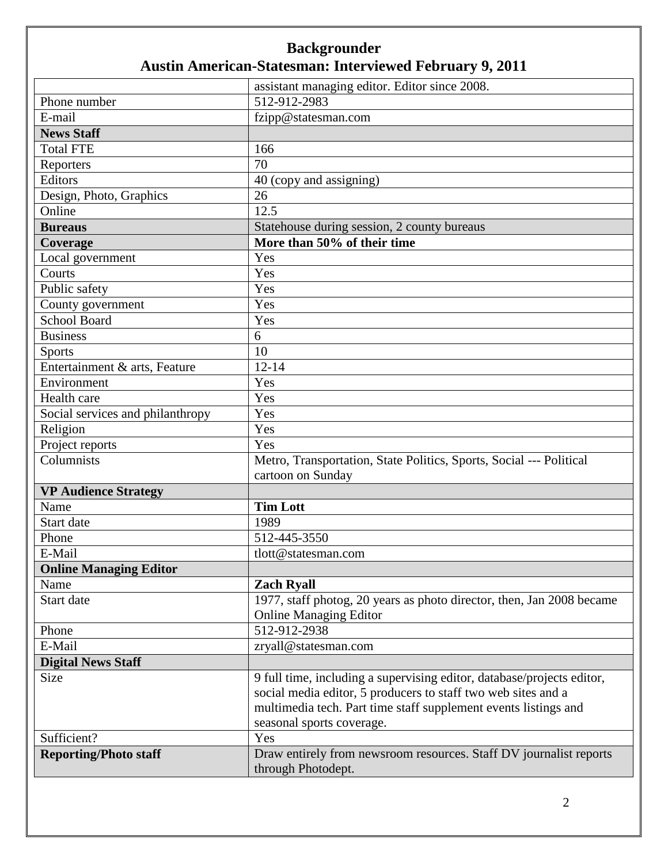|                                  | assistant managing editor. Editor since 2008.                                            |
|----------------------------------|------------------------------------------------------------------------------------------|
| Phone number                     | 512-912-2983                                                                             |
| E-mail                           | fzipp@statesman.com                                                                      |
| <b>News Staff</b>                |                                                                                          |
| <b>Total FTE</b>                 | 166                                                                                      |
| Reporters                        | 70                                                                                       |
| Editors                          | 40 (copy and assigning)                                                                  |
| Design, Photo, Graphics          | 26                                                                                       |
| Online                           | 12.5                                                                                     |
| <b>Bureaus</b>                   | Statehouse during session, 2 county bureaus                                              |
| Coverage                         | More than 50% of their time                                                              |
| Local government                 | Yes                                                                                      |
| Courts                           | Yes                                                                                      |
| Public safety                    | Yes                                                                                      |
| County government                | Yes                                                                                      |
| <b>School Board</b>              | Yes                                                                                      |
| <b>Business</b>                  | 6                                                                                        |
| <b>Sports</b>                    | 10                                                                                       |
| Entertainment & arts, Feature    | $12 - 14$                                                                                |
| Environment                      | Yes                                                                                      |
| Health care                      | Yes                                                                                      |
| Social services and philanthropy | Yes                                                                                      |
| Religion                         | Yes                                                                                      |
| Project reports                  | Yes                                                                                      |
| Columnists                       | Metro, Transportation, State Politics, Sports, Social --- Political<br>cartoon on Sunday |
| <b>VP Audience Strategy</b>      |                                                                                          |
| Name                             | <b>Tim Lott</b>                                                                          |
| Start date                       | 1989                                                                                     |
| Phone                            | 512-445-3550                                                                             |
| E-Mail                           | tlott@statesman.com                                                                      |
| <b>Online Managing Editor</b>    |                                                                                          |
| Name                             | <b>Zach Ryall</b>                                                                        |
| Start date                       | 1977, staff photog, 20 years as photo director, then, Jan 2008 became                    |
|                                  | <b>Online Managing Editor</b>                                                            |
| Phone                            | 512-912-2938                                                                             |
| E-Mail                           | zryall@statesman.com                                                                     |
| <b>Digital News Staff</b>        |                                                                                          |
| Size                             | 9 full time, including a supervising editor, database/projects editor,                   |
|                                  | social media editor, 5 producers to staff two web sites and a                            |
|                                  | multimedia tech. Part time staff supplement events listings and                          |
|                                  | seasonal sports coverage.                                                                |
| Sufficient?                      | Yes                                                                                      |
| <b>Reporting/Photo staff</b>     | Draw entirely from newsroom resources. Staff DV journalist reports                       |
|                                  | through Photodept.                                                                       |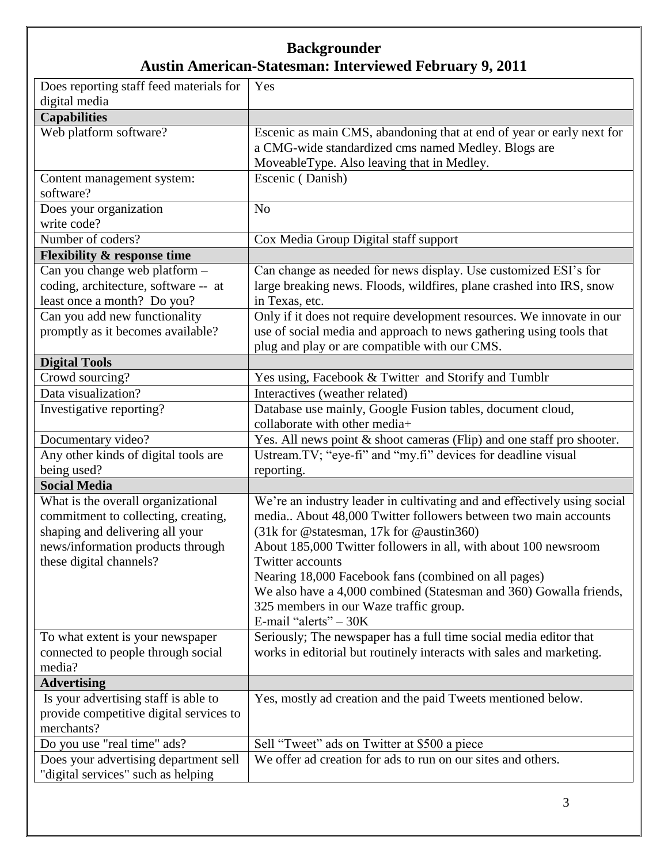| Does reporting staff feed materials for                                                                                                                                                                                                                                         | Yes                                                                                                                                                                                                                                                                                                                                                                                           |
|---------------------------------------------------------------------------------------------------------------------------------------------------------------------------------------------------------------------------------------------------------------------------------|-----------------------------------------------------------------------------------------------------------------------------------------------------------------------------------------------------------------------------------------------------------------------------------------------------------------------------------------------------------------------------------------------|
| digital media                                                                                                                                                                                                                                                                   |                                                                                                                                                                                                                                                                                                                                                                                               |
| <b>Capabilities</b>                                                                                                                                                                                                                                                             |                                                                                                                                                                                                                                                                                                                                                                                               |
| Web platform software?                                                                                                                                                                                                                                                          | Escenic as main CMS, abandoning that at end of year or early next for                                                                                                                                                                                                                                                                                                                         |
|                                                                                                                                                                                                                                                                                 | a CMG-wide standardized cms named Medley. Blogs are                                                                                                                                                                                                                                                                                                                                           |
|                                                                                                                                                                                                                                                                                 | MoveableType. Also leaving that in Medley.                                                                                                                                                                                                                                                                                                                                                    |
| Content management system:                                                                                                                                                                                                                                                      | Escenic (Danish)                                                                                                                                                                                                                                                                                                                                                                              |
| software?                                                                                                                                                                                                                                                                       |                                                                                                                                                                                                                                                                                                                                                                                               |
| Does your organization                                                                                                                                                                                                                                                          | N <sub>o</sub>                                                                                                                                                                                                                                                                                                                                                                                |
| write code?                                                                                                                                                                                                                                                                     |                                                                                                                                                                                                                                                                                                                                                                                               |
| Number of coders?                                                                                                                                                                                                                                                               | Cox Media Group Digital staff support                                                                                                                                                                                                                                                                                                                                                         |
| <b>Flexibility &amp; response time</b>                                                                                                                                                                                                                                          |                                                                                                                                                                                                                                                                                                                                                                                               |
| Can you change web platform -                                                                                                                                                                                                                                                   | Can change as needed for news display. Use customized ESI's for                                                                                                                                                                                                                                                                                                                               |
| coding, architecture, software -- at                                                                                                                                                                                                                                            | large breaking news. Floods, wildfires, plane crashed into IRS, snow                                                                                                                                                                                                                                                                                                                          |
| least once a month? Do you?                                                                                                                                                                                                                                                     | in Texas, etc.                                                                                                                                                                                                                                                                                                                                                                                |
| Can you add new functionality                                                                                                                                                                                                                                                   | Only if it does not require development resources. We innovate in our                                                                                                                                                                                                                                                                                                                         |
| promptly as it becomes available?                                                                                                                                                                                                                                               | use of social media and approach to news gathering using tools that                                                                                                                                                                                                                                                                                                                           |
|                                                                                                                                                                                                                                                                                 | plug and play or are compatible with our CMS.                                                                                                                                                                                                                                                                                                                                                 |
| <b>Digital Tools</b>                                                                                                                                                                                                                                                            |                                                                                                                                                                                                                                                                                                                                                                                               |
| Crowd sourcing?                                                                                                                                                                                                                                                                 | Yes using, Facebook & Twitter and Storify and Tumblr                                                                                                                                                                                                                                                                                                                                          |
| Data visualization?                                                                                                                                                                                                                                                             | Interactives (weather related)                                                                                                                                                                                                                                                                                                                                                                |
| Investigative reporting?                                                                                                                                                                                                                                                        | Database use mainly, Google Fusion tables, document cloud,                                                                                                                                                                                                                                                                                                                                    |
|                                                                                                                                                                                                                                                                                 | collaborate with other media+                                                                                                                                                                                                                                                                                                                                                                 |
| Documentary video?                                                                                                                                                                                                                                                              | Yes. All news point & shoot cameras (Flip) and one staff pro shooter.                                                                                                                                                                                                                                                                                                                         |
| Any other kinds of digital tools are                                                                                                                                                                                                                                            | Ustream.TV; "eye-fi" and "my.fi" devices for deadline visual                                                                                                                                                                                                                                                                                                                                  |
| being used?                                                                                                                                                                                                                                                                     | reporting.                                                                                                                                                                                                                                                                                                                                                                                    |
| <b>Social Media</b>                                                                                                                                                                                                                                                             |                                                                                                                                                                                                                                                                                                                                                                                               |
| What is the overall organizational                                                                                                                                                                                                                                              | We're an industry leader in cultivating and and effectively using social                                                                                                                                                                                                                                                                                                                      |
| commitment to collecting, creating,                                                                                                                                                                                                                                             | media About 48,000 Twitter followers between two main accounts                                                                                                                                                                                                                                                                                                                                |
| shaping and delivering all your                                                                                                                                                                                                                                                 | (31k for @statesman, 17k for @austin360)                                                                                                                                                                                                                                                                                                                                                      |
| news/information products through                                                                                                                                                                                                                                               | About 185,000 Twitter followers in all, with about 100 newsroom                                                                                                                                                                                                                                                                                                                               |
| these digital channels?                                                                                                                                                                                                                                                         | Twitter accounts                                                                                                                                                                                                                                                                                                                                                                              |
|                                                                                                                                                                                                                                                                                 | Nearing 18,000 Facebook fans (combined on all pages)<br>We also have a 4,000 combined (Statesman and 360) Gowalla friends,                                                                                                                                                                                                                                                                    |
|                                                                                                                                                                                                                                                                                 |                                                                                                                                                                                                                                                                                                                                                                                               |
|                                                                                                                                                                                                                                                                                 |                                                                                                                                                                                                                                                                                                                                                                                               |
|                                                                                                                                                                                                                                                                                 |                                                                                                                                                                                                                                                                                                                                                                                               |
|                                                                                                                                                                                                                                                                                 |                                                                                                                                                                                                                                                                                                                                                                                               |
|                                                                                                                                                                                                                                                                                 |                                                                                                                                                                                                                                                                                                                                                                                               |
|                                                                                                                                                                                                                                                                                 |                                                                                                                                                                                                                                                                                                                                                                                               |
|                                                                                                                                                                                                                                                                                 |                                                                                                                                                                                                                                                                                                                                                                                               |
|                                                                                                                                                                                                                                                                                 |                                                                                                                                                                                                                                                                                                                                                                                               |
|                                                                                                                                                                                                                                                                                 |                                                                                                                                                                                                                                                                                                                                                                                               |
|                                                                                                                                                                                                                                                                                 |                                                                                                                                                                                                                                                                                                                                                                                               |
|                                                                                                                                                                                                                                                                                 |                                                                                                                                                                                                                                                                                                                                                                                               |
| "digital services" such as helping                                                                                                                                                                                                                                              |                                                                                                                                                                                                                                                                                                                                                                                               |
| To what extent is your newspaper<br>connected to people through social<br>media?<br><b>Advertising</b><br>Is your advertising staff is able to<br>provide competitive digital services to<br>merchants?<br>Do you use "real time" ads?<br>Does your advertising department sell | 325 members in our Waze traffic group.<br>E-mail "alerts" $-30K$<br>Seriously; The newspaper has a full time social media editor that<br>works in editorial but routinely interacts with sales and marketing.<br>Yes, mostly ad creation and the paid Tweets mentioned below.<br>Sell "Tweet" ads on Twitter at \$500 a piece<br>We offer ad creation for ads to run on our sites and others. |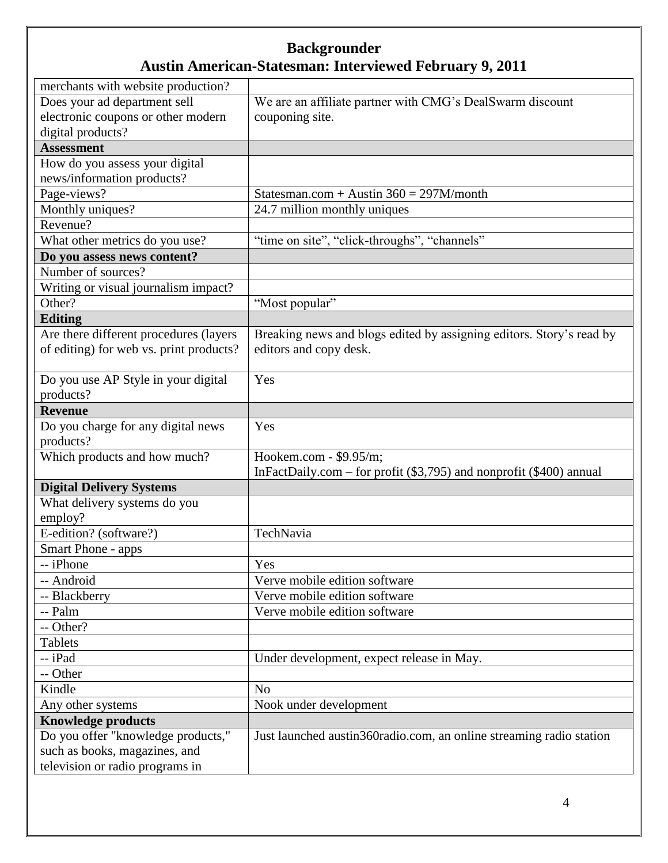| merchants with website production?      |                                                                          |
|-----------------------------------------|--------------------------------------------------------------------------|
| Does your ad department sell            | We are an affiliate partner with CMG's DealSwarm discount                |
| electronic coupons or other modern      | couponing site.                                                          |
| digital products?                       |                                                                          |
| <b>Assessment</b>                       |                                                                          |
| How do you assess your digital          |                                                                          |
| news/information products?              |                                                                          |
| Page-views?                             | Statesman.com + Austin $360 = 297M/m$ onth                               |
| Monthly uniques?                        | 24.7 million monthly uniques                                             |
| Revenue?                                |                                                                          |
| What other metrics do you use?          | "time on site", "click-throughs", "channels"                             |
| Do you assess news content?             |                                                                          |
| Number of sources?                      |                                                                          |
| Writing or visual journalism impact?    |                                                                          |
| Other?                                  | "Most popular"                                                           |
| <b>Editing</b>                          |                                                                          |
| Are there different procedures (layers  | Breaking news and blogs edited by assigning editors. Story's read by     |
| of editing) for web vs. print products? | editors and copy desk.                                                   |
|                                         |                                                                          |
| Do you use AP Style in your digital     | Yes                                                                      |
| products?                               |                                                                          |
| <b>Revenue</b>                          |                                                                          |
| Do you charge for any digital news      | Yes                                                                      |
| products?                               |                                                                          |
| Which products and how much?            | Hookem.com - \$9.95/m;                                                   |
|                                         | In FactDaily.com – for profit $(\$3,795)$ and nonprofit $(\$400)$ annual |
| <b>Digital Delivery Systems</b>         |                                                                          |
| What delivery systems do you            |                                                                          |
| employ?                                 |                                                                          |
| E-edition? (software?)                  | TechNavia                                                                |
| Smart Phone - apps                      |                                                                          |
| - iPhone                                | Yes                                                                      |
| -- Android                              | Verve mobile edition software                                            |
| -- Blackberry                           | Verve mobile edition software                                            |
| -- Palm                                 | Verve mobile edition software                                            |
| -- Other?                               |                                                                          |
| <b>Tablets</b>                          |                                                                          |
| -- iPad                                 | Under development, expect release in May.                                |
| -- Other                                |                                                                          |
| Kindle                                  | N <sub>o</sub>                                                           |
| Any other systems                       | Nook under development                                                   |
| <b>Knowledge products</b>               |                                                                          |
| Do you offer "knowledge products,"      | Just launched austin360radio.com, an online streaming radio station      |
| such as books, magazines, and           |                                                                          |
| television or radio programs in         |                                                                          |